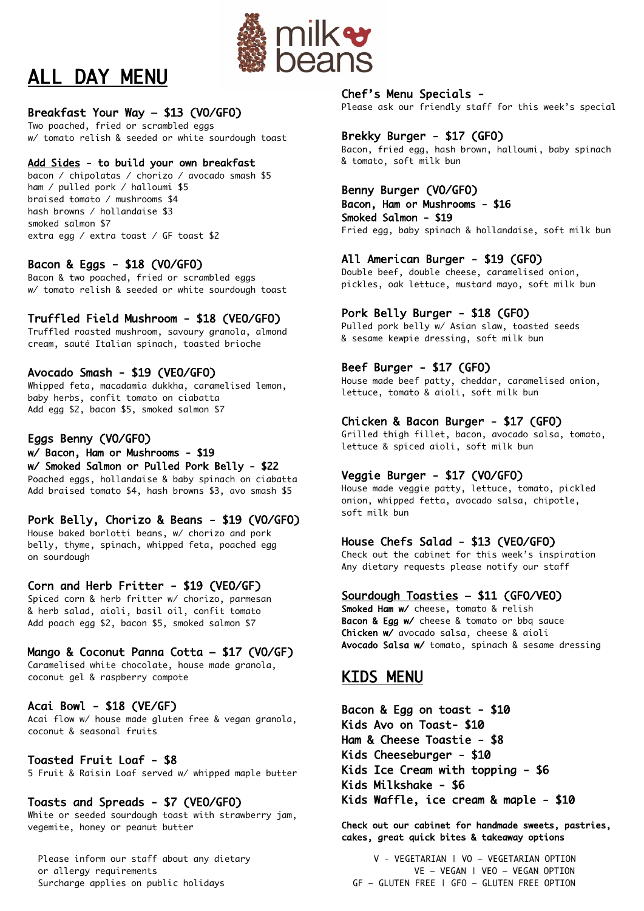

# ALL DAY MENU

# Breakfast Your Way – \$13 (VO/GFO)

Two poached, fried or scrambled eggs w/ tomato relish & seeded or white sourdough toast

# Add Sides - to build your own breakfast

bacon / chipolatas / chorizo / avocado smash \$5 ham / pulled pork / halloumi \$5 braised tomato / mushrooms \$4 hash browns / hollandaise \$3 smoked salmon \$7 extra egg / extra toast / GF toast \$2

# Bacon & Eggs - \$18 (VO/GFO)

Bacon & two poached, fried or scrambled eggs w/ tomato relish & seeded or white sourdough toast

# Truffled Field Mushroom - \$18 (VEO/GFO)

Truffled roasted mushroom, savoury granola, almond cream, sauté Italian spinach, toasted brioche

# Avocado Smash - \$19 (VEO/GFO)

Whipped feta, macadamia dukkha, caramelised lemon, baby herbs, confit tomato on ciabatta Add egg \$2, bacon \$5, smoked salmon \$7

# Eggs Benny (VO/GFO)

w/ Bacon, Ham or Mushrooms - \$19 w/ Smoked Salmon or Pulled Pork Belly - \$22

Poached eggs, hollandaise & baby spinach on ciabatta Add braised tomato \$4, hash browns \$3, avo smash \$5

# Pork Belly, Chorizo & Beans - \$19 (VO/GFO)

House baked borlotti beans, w/ chorizo and pork belly, thyme, spinach, whipped feta, poached egg on sourdough

# Corn and Herb Fritter - \$19 (VEO/GF)

Spiced corn & herb fritter w/ chorizo, parmesan & herb salad, aioli, basil oil, confit tomato Add poach egg \$2, bacon \$5, smoked salmon \$7

# Mango & Coconut Panna Cotta – \$17 (VO/GF)

Caramelised white chocolate, house made granola, coconut gel & raspberry compote

# Acai Bowl - \$18 (VE/GF)

Acai flow w/ house made gluten free & vegan granola, coconut & seasonal fruits

# Toasted Fruit Loaf - \$8

5 Fruit & Raisin Loaf served w/ whipped maple butter

# Toasts and Spreads - \$7 (VEO/GFO)

White or seeded sourdough toast with strawberry jam, vegemite, honey or peanut butter

## Chef's Menu Specials -

Please ask our friendly staff for this week's special

# Brekky Burger - \$17 (GFO)

Bacon, fried egg, hash brown, halloumi, baby spinach & tomato, soft milk bun

# Benny Burger (VO/GFO)

Bacon, Ham or Mushrooms - \$16 Smoked Salmon - \$19 Fried egg, baby spinach & hollandaise, soft milk bun

# All American Burger - \$19 (GFO)

Double beef, double cheese, caramelised onion, pickles, oak lettuce, mustard mayo, soft milk bun

# Pork Belly Burger - \$18 (GFO)

Pulled pork belly w/ Asian slaw, toasted seeds & sesame kewpie dressing, soft milk bun

# Beef Burger - \$17 (GFO)

House made beef patty, cheddar, caramelised onion, lettuce, tomato & aioli, soft milk bun

# Chicken & Bacon Burger - \$17 (GFO)

Grilled thigh fillet, bacon, avocado salsa, tomato, lettuce & spiced aioli, soft milk bun

# Veggie Burger - \$17 (VO/GFO)

House made veggie patty, lettuce, tomato, pickled onion, whipped fetta, avocado salsa, chipotle, soft milk bun

# House Chefs Salad - \$13 (VEO/GFO)

Check out the cabinet for this week's inspiration Any dietary requests please notify our staff

# Sourdough Toasties – \$11 (GFO/VEO)

Smoked Ham w/ cheese, tomato & relish Bacon & Egg w/ cheese & tomato or bbq sauce Chicken w/ avocado salsa, cheese & aioli Avocado Salsa w/ tomato, spinach & sesame dressing

# KIDS MENU

Bacon & Egg on toast - \$10 Kids Avo on Toast- \$10 Ham & Cheese Toastie - \$8 Kids Cheeseburger - \$10 Kids Ice Cream with topping - \$6 Kids Milkshake - \$6 Kids Waffle, ice cream & maple - \$10

Check out our cabinet for handmade sweets, pastries, cakes, great quick bites & takeaway options

Please inform our staff about any dietary V - VEGETARIAN | VO - VEGETARIAN OPTION or allergy requirements VE – VEGAN | VEO – VEGAN OPTION Surcharge applies on public holidays GF – GLUTEN FREE | GFO – GLUTEN FREE OPTION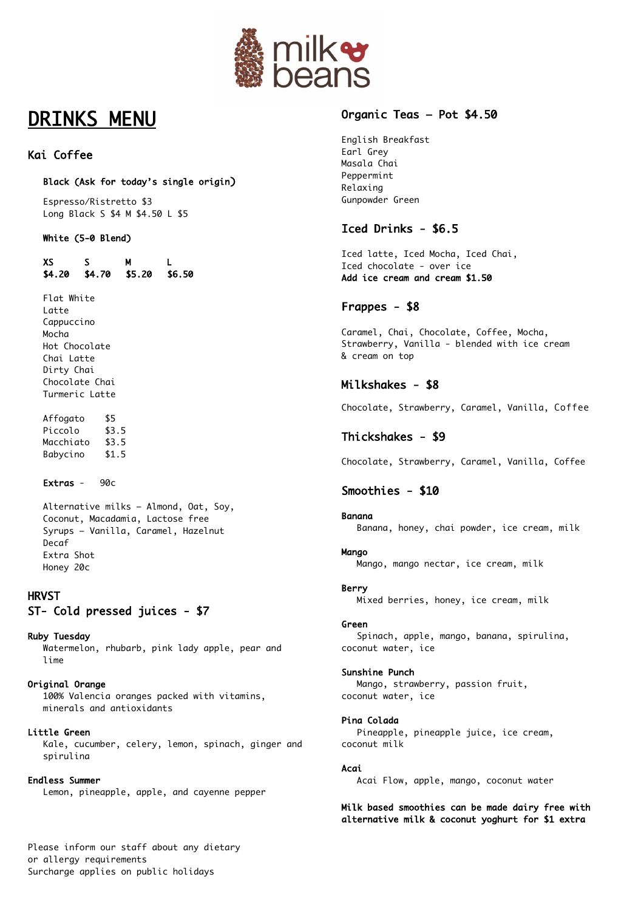

# DRINKS MENU

# Kai Coffee

## Black (Ask for today's single origin)

 Espresso/Ristretto \$3 Long Black S \$4 M \$4.50 L \$5

## White (5-0 Blend)

 XS S M L \$4.20 \$4.70 \$5.20 \$6.50

Flat White Latte Cappuccino Mocha Hot Chocolate Chai Latte Dirty Chai Chocolate Chai Turmeric Latte

Affogato \$5 Piccolo \$3.5 Macchiato \$3.5 Babycino \$1.5

## Extras - 90c

Alternative milks – Almond, Oat, Soy, Coconut, Macadamia, Lactose free Syrups – Vanilla, Caramel, Hazelnut Decaf Extra Shot Honey 20c

# **HRVST** ST- Cold pressed juices - \$7

### Ruby Tuesday

Watermelon, rhubarb, pink lady apple, pear and lime

Original Orange 100% Valencia oranges packed with vitamins, minerals and antioxidants

### Little Green

Kale, cucumber, celery, lemon, spinach, ginger and spirulina

### Endless Summer

Lemon, pineapple, apple, and cayenne pepper

# Organic Teas – Pot \$4.50

English Breakfast Earl Grey Masala Chai Peppermint Relaxing Gunpowder Green

# Iced Drinks - \$6.5

Iced latte, Iced Mocha, Iced Chai, Iced chocolate - over ice Add ice cream and cream \$1.50

# Frappes - \$8

Caramel, Chai, Chocolate, Coffee, Mocha, Strawberry, Vanilla - blended with ice cream & cream on top

# Milkshakes - \$8

Chocolate, Strawberry, Caramel, Vanilla, Coffee

# Thickshakes - \$9

Chocolate, Strawberry, Caramel, Vanilla, Coffee

# Smoothies - \$10

## Banana

Banana, honey, chai powder, ice cream, milk

## **Mango**

Mango, mango nectar, ice cream, milk

### Berry

Mixed berries, honey, ice cream, milk

### Green

 Spinach, apple, mango, banana, spirulina, coconut water, ice

### Sunshine Punch

 Mango, strawberry, passion fruit, coconut water, ice

### Pina Colada

 Pineapple, pineapple juice, ice cream, coconut milk

### Acai

Acai Flow, apple, mango, coconut water

### Milk based smoothies can be made dairy free with alternative milk & coconut yoghurt for \$1 extra

Please inform our staff about any dietary or allergy requirements Surcharge applies on public holidays